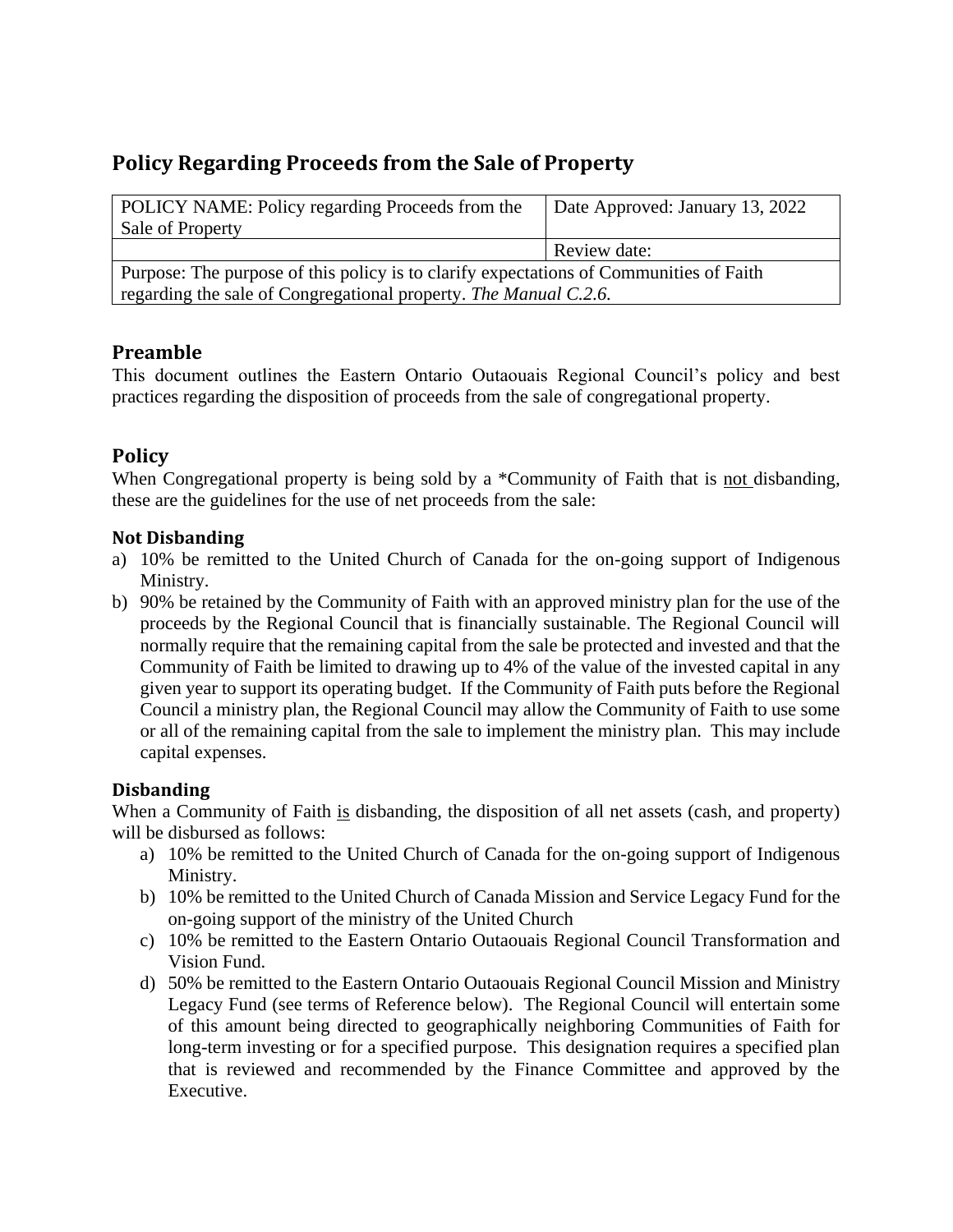# **Policy Regarding Proceeds from the Sale of Property**

| POLICY NAME: Policy regarding Proceeds from the<br>Sale of Property                    | Date Approved: January 13, 2022 |
|----------------------------------------------------------------------------------------|---------------------------------|
|                                                                                        | Review date:                    |
| Purpose: The purpose of this policy is to clarify expectations of Communities of Faith |                                 |
| regarding the sale of Congregational property. The Manual C.2.6.                       |                                 |

## **Preamble**

This document outlines the Eastern Ontario Outaouais Regional Council's policy and best practices regarding the disposition of proceeds from the sale of congregational property.

## **Policy**

When Congregational property is being sold by a \*Community of Faith that is not disbanding, these are the guidelines for the use of net proceeds from the sale:

#### **Not Disbanding**

- a) 10% be remitted to the United Church of Canada for the on-going support of Indigenous Ministry.
- b) 90% be retained by the Community of Faith with an approved ministry plan for the use of the proceeds by the Regional Council that is financially sustainable. The Regional Council will normally require that the remaining capital from the sale be protected and invested and that the Community of Faith be limited to drawing up to 4% of the value of the invested capital in any given year to support its operating budget. If the Community of Faith puts before the Regional Council a ministry plan, the Regional Council may allow the Community of Faith to use some or all of the remaining capital from the sale to implement the ministry plan. This may include capital expenses.

#### **Disbanding**

When a Community of Faith is disbanding, the disposition of all net assets (cash, and property) will be disbursed as follows:

- a) 10% be remitted to the United Church of Canada for the on-going support of Indigenous Ministry.
- b) 10% be remitted to the United Church of Canada Mission and Service Legacy Fund for the on-going support of the ministry of the United Church
- c) 10% be remitted to the Eastern Ontario Outaouais Regional Council Transformation and Vision Fund.
- d) 50% be remitted to the Eastern Ontario Outaouais Regional Council Mission and Ministry Legacy Fund (see terms of Reference below). The Regional Council will entertain some of this amount being directed to geographically neighboring Communities of Faith for long-term investing or for a specified purpose. This designation requires a specified plan that is reviewed and recommended by the Finance Committee and approved by the Executive.